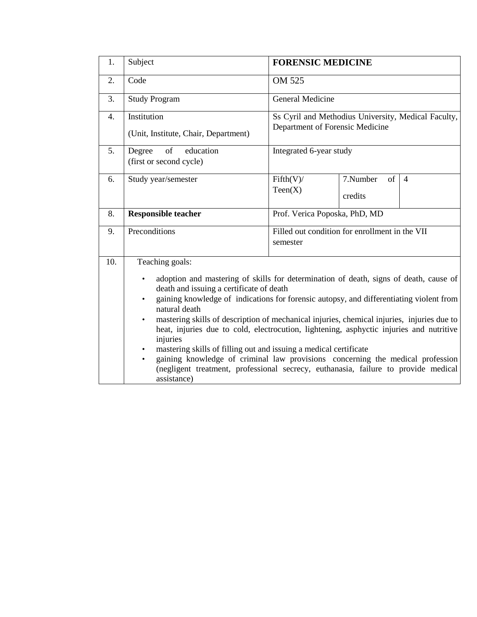| 1.  | Subject                                                                                                                                                                                                                                                                                                                                                                                                                                                                                                                                                                                                                                                                                                                                                     | <b>FORENSIC MEDICINE</b>                                                               |                                 |                |  |  |  |
|-----|-------------------------------------------------------------------------------------------------------------------------------------------------------------------------------------------------------------------------------------------------------------------------------------------------------------------------------------------------------------------------------------------------------------------------------------------------------------------------------------------------------------------------------------------------------------------------------------------------------------------------------------------------------------------------------------------------------------------------------------------------------------|----------------------------------------------------------------------------------------|---------------------------------|----------------|--|--|--|
| 2.  | Code                                                                                                                                                                                                                                                                                                                                                                                                                                                                                                                                                                                                                                                                                                                                                        | OM 525                                                                                 |                                 |                |  |  |  |
| 3.  | <b>Study Program</b>                                                                                                                                                                                                                                                                                                                                                                                                                                                                                                                                                                                                                                                                                                                                        | <b>General Medicine</b>                                                                |                                 |                |  |  |  |
| 4.  | Institution<br>(Unit, Institute, Chair, Department)                                                                                                                                                                                                                                                                                                                                                                                                                                                                                                                                                                                                                                                                                                         | Ss Cyril and Methodius University, Medical Faculty,<br>Department of Forensic Medicine |                                 |                |  |  |  |
| 5.  | of<br>education<br>Degree<br>(first or second cycle)                                                                                                                                                                                                                                                                                                                                                                                                                                                                                                                                                                                                                                                                                                        | Integrated 6-year study                                                                |                                 |                |  |  |  |
| 6.  | Study year/semester                                                                                                                                                                                                                                                                                                                                                                                                                                                                                                                                                                                                                                                                                                                                         | Fifth(V)/<br>Teen(X)                                                                   | 7.Number<br>$\sigma$<br>credits | $\overline{4}$ |  |  |  |
| 8.  | <b>Responsible teacher</b>                                                                                                                                                                                                                                                                                                                                                                                                                                                                                                                                                                                                                                                                                                                                  | Prof. Verica Poposka, PhD, MD                                                          |                                 |                |  |  |  |
| 9.  | Preconditions                                                                                                                                                                                                                                                                                                                                                                                                                                                                                                                                                                                                                                                                                                                                               | Filled out condition for enrollment in the VII<br>semester                             |                                 |                |  |  |  |
| 10. | Teaching goals:<br>adoption and mastering of skills for determination of death, signs of death, cause of<br>death and issuing a certificate of death<br>gaining knowledge of indications for forensic autopsy, and differentiating violent from<br>natural death<br>mastering skills of description of mechanical injuries, chemical injuries, injuries due to<br>$\bullet$<br>heat, injuries due to cold, electrocution, lightening, asphyctic injuries and nutritive<br>injuries<br>mastering skills of filling out and issuing a medical certificate<br>$\bullet$<br>gaining knowledge of criminal law provisions concerning the medical profession<br>(negligent treatment, professional secrecy, euthanasia, failure to provide medical<br>assistance) |                                                                                        |                                 |                |  |  |  |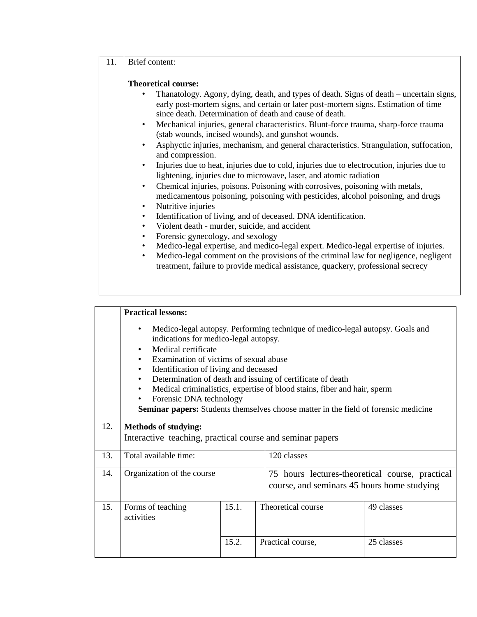## 11. Brief content:

## **Theoretical course:**

- Thanatology. Agony, dying, death, and types of death. Signs of death uncertain signs, early post-mortem signs, and certain or later post-mortem signs. Estimation of time since death. Determination of death and cause of death.
- Mechanical injuries, general characteristics. Blunt-force trauma, sharp-force trauma (stab wounds, incised wounds), and gunshot wounds.
- Asphyctic injuries, mechanism, and general characteristics. Strangulation, suffocation, and compression.
- Injuries due to heat, injuries due to cold, injuries due to electrocution, injuries due to lightening, injuries due to microwave, laser, and atomic radiation
- Chemical injuries, poisons. Poisoning with corrosives, poisoning with metals, medicamentous poisoning, poisoning with pesticides, alcohol poisoning, and drugs
- Nutritive injuries
- Identification of living, and of deceased. DNA identification.
- Violent death murder, suicide, and accident
- Forensic gynecology, and sexology
- Medico-legal expertise, and medico-legal expert. Medico-legal expertise of injuries.
- Medico-legal comment on the provisions of the criminal law for negligence, negligent treatment, failure to provide medical assistance, quackery, professional secrecy

|     | <b>Practical lessons:</b>                                                                                                                                                                                                                                                                                                                                                                                                                                                                                                                                                              |       |                                                                                                |            |  |  |  |  |  |
|-----|----------------------------------------------------------------------------------------------------------------------------------------------------------------------------------------------------------------------------------------------------------------------------------------------------------------------------------------------------------------------------------------------------------------------------------------------------------------------------------------------------------------------------------------------------------------------------------------|-------|------------------------------------------------------------------------------------------------|------------|--|--|--|--|--|
|     | Medico-legal autopsy. Performing technique of medico-legal autopsy. Goals and<br>$\bullet$<br>indications for medico-legal autopsy.<br>Medical certificate<br>$\bullet$<br>Examination of victims of sexual abuse<br>$\bullet$<br>Identification of living and deceased<br>$\bullet$<br>Determination of death and issuing of certificate of death<br>$\bullet$<br>Medical criminalistics, expertise of blood stains, fiber and hair, sperm<br>$\bullet$<br>Forensic DNA technology<br>٠<br><b>Seminar papers:</b> Students themselves choose matter in the field of forensic medicine |       |                                                                                                |            |  |  |  |  |  |
| 12. | <b>Methods of studying:</b><br>Interactive teaching, practical course and seminar papers                                                                                                                                                                                                                                                                                                                                                                                                                                                                                               |       |                                                                                                |            |  |  |  |  |  |
| 13. | Total available time:                                                                                                                                                                                                                                                                                                                                                                                                                                                                                                                                                                  |       | 120 classes                                                                                    |            |  |  |  |  |  |
| 14. | Organization of the course                                                                                                                                                                                                                                                                                                                                                                                                                                                                                                                                                             |       | 75 hours lectures-theoretical course, practical<br>course, and seminars 45 hours home studying |            |  |  |  |  |  |
| 15. | Forms of teaching<br>activities                                                                                                                                                                                                                                                                                                                                                                                                                                                                                                                                                        | 15.1. | Theoretical course                                                                             | 49 classes |  |  |  |  |  |
|     |                                                                                                                                                                                                                                                                                                                                                                                                                                                                                                                                                                                        | 15.2. | Practical course,                                                                              | 25 classes |  |  |  |  |  |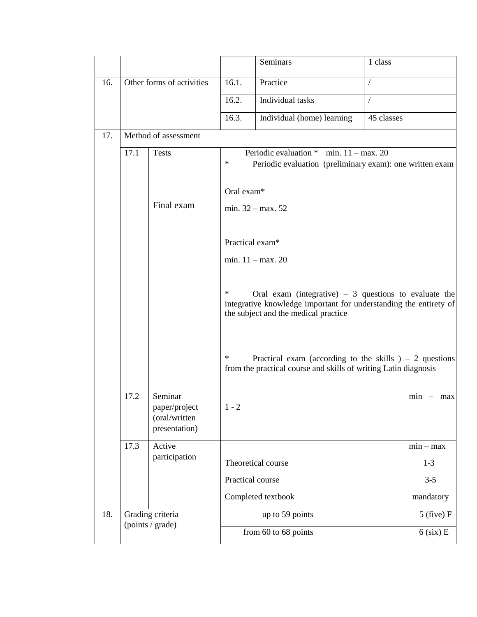|     |                                                                    |                           |                                                                                                                                                                          | Seminars                                                                                                                  |  | 1 class    |                |
|-----|--------------------------------------------------------------------|---------------------------|--------------------------------------------------------------------------------------------------------------------------------------------------------------------------|---------------------------------------------------------------------------------------------------------------------------|--|------------|----------------|
| 16. |                                                                    | Other forms of activities | 16.1.                                                                                                                                                                    | Practice                                                                                                                  |  | $\sqrt{2}$ |                |
|     | Method of assessment                                               |                           | 16.2.                                                                                                                                                                    | Individual tasks                                                                                                          |  | $\sqrt{2}$ |                |
|     |                                                                    |                           | 16.3.                                                                                                                                                                    | Individual (home) learning                                                                                                |  | 45 classes |                |
| 17. |                                                                    |                           |                                                                                                                                                                          |                                                                                                                           |  |            |                |
|     | 17.1                                                               | <b>Tests</b>              | Periodic evaluation $*$ min. 11 – max. 20<br>$\ast$<br>Periodic evaluation (preliminary exam): one written exam                                                          |                                                                                                                           |  |            |                |
|     | Final exam                                                         |                           | Oral exam*<br>min. $32 - max. 52$                                                                                                                                        |                                                                                                                           |  |            |                |
|     |                                                                    |                           |                                                                                                                                                                          | Practical exam*                                                                                                           |  |            |                |
|     |                                                                    |                           | min. $11 - \text{max}$ . 20                                                                                                                                              |                                                                                                                           |  |            |                |
|     |                                                                    |                           | ∗<br>Oral exam (integrative) $-3$ questions to evaluate the<br>integrative knowledge important for understanding the entirety of<br>the subject and the medical practice |                                                                                                                           |  |            |                |
|     |                                                                    |                           | ∗                                                                                                                                                                        | Practical exam (according to the skills $-2$ questions<br>from the practical course and skills of writing Latin diagnosis |  |            |                |
|     | Seminar<br>17.2<br>paper/project<br>(oral/written<br>presentation) |                           | $1 - 2$                                                                                                                                                                  |                                                                                                                           |  |            | $min - max$    |
|     | 17.3                                                               | Active                    |                                                                                                                                                                          |                                                                                                                           |  |            | $min - max$    |
|     |                                                                    | participation             |                                                                                                                                                                          | Theoretical course                                                                                                        |  |            | $1 - 3$        |
|     |                                                                    |                           |                                                                                                                                                                          | Practical course                                                                                                          |  |            | $3 - 5$        |
|     |                                                                    |                           |                                                                                                                                                                          | Completed textbook                                                                                                        |  |            | mandatory      |
| 18. |                                                                    | Grading criteria          |                                                                                                                                                                          | up to 59 points                                                                                                           |  |            | $5$ (five) $F$ |
|     | (points / grade)                                                   |                           |                                                                                                                                                                          | from 60 to 68 points                                                                                                      |  |            | $6$ (six) E    |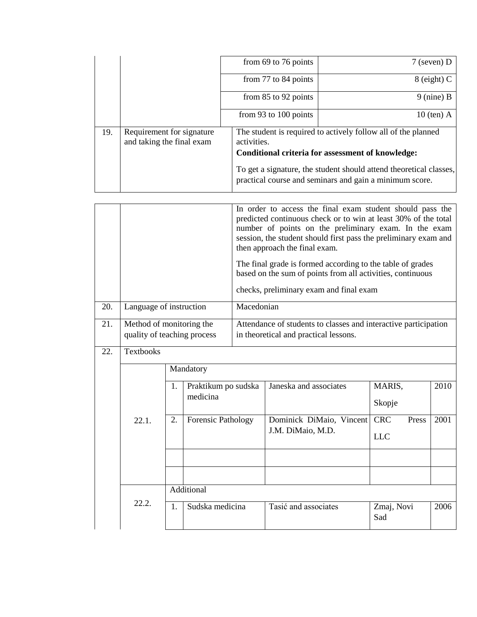|     |                                                        | from $69$ to 76 points                                                                                                            | $7$ (seven) D                                                                                                                 |  |  |  |  |
|-----|--------------------------------------------------------|-----------------------------------------------------------------------------------------------------------------------------------|-------------------------------------------------------------------------------------------------------------------------------|--|--|--|--|
|     |                                                        | from 77 to 84 points                                                                                                              | $8$ (eight) C                                                                                                                 |  |  |  |  |
|     |                                                        | from $85$ to $92$ points                                                                                                          | $9$ (nine) B                                                                                                                  |  |  |  |  |
|     |                                                        | from 93 to 100 points                                                                                                             | $10$ (ten) A                                                                                                                  |  |  |  |  |
| 19. | Requirement for signature<br>and taking the final exam | The student is required to actively follow all of the planned<br>activities.<br>Conditional criteria for assessment of knowledge: |                                                                                                                               |  |  |  |  |
|     |                                                        |                                                                                                                                   | To get a signature, the student should attend theoretical classes,<br>practical course and seminars and gain a minimum score. |  |  |  |  |

|     |                                                         |                                       |                                 | In order to access the final exam student should pass the<br>predicted continuous check or to win at least 30% of the total<br>number of points on the preliminary exam. In the exam<br>session, the student should first pass the preliminary exam and<br>then approach the final exam.<br>The final grade is formed according to the table of grades<br>based on the sum of points from all activities, continuous<br>checks, preliminary exam and final exam |                          |                     |      |  |
|-----|---------------------------------------------------------|---------------------------------------|---------------------------------|-----------------------------------------------------------------------------------------------------------------------------------------------------------------------------------------------------------------------------------------------------------------------------------------------------------------------------------------------------------------------------------------------------------------------------------------------------------------|--------------------------|---------------------|------|--|
| 20. |                                                         | Language of instruction<br>Macedonian |                                 |                                                                                                                                                                                                                                                                                                                                                                                                                                                                 |                          |                     |      |  |
| 21. | Method of monitoring the<br>quality of teaching process |                                       |                                 | Attendance of students to classes and interactive participation<br>in theoretical and practical lessons.                                                                                                                                                                                                                                                                                                                                                        |                          |                     |      |  |
| 22. | <b>Textbooks</b>                                        |                                       |                                 |                                                                                                                                                                                                                                                                                                                                                                                                                                                                 |                          |                     |      |  |
|     |                                                         | Mandatory                             |                                 |                                                                                                                                                                                                                                                                                                                                                                                                                                                                 |                          |                     |      |  |
|     |                                                         | 1.                                    | Praktikum po sudska<br>medicina |                                                                                                                                                                                                                                                                                                                                                                                                                                                                 | Janeska and associates   | MARIS,<br>Skopje    | 2010 |  |
|     | 22.1.                                                   | 2.                                    | <b>Forensic Pathology</b>       |                                                                                                                                                                                                                                                                                                                                                                                                                                                                 | Dominick DiMaio, Vincent | <b>CRC</b><br>Press | 2001 |  |
|     |                                                         |                                       |                                 |                                                                                                                                                                                                                                                                                                                                                                                                                                                                 | J.M. DiMaio, M.D.        | <b>LLC</b>          |      |  |
|     |                                                         |                                       |                                 |                                                                                                                                                                                                                                                                                                                                                                                                                                                                 |                          |                     |      |  |
|     |                                                         |                                       |                                 |                                                                                                                                                                                                                                                                                                                                                                                                                                                                 |                          |                     |      |  |
|     |                                                         | Additional                            |                                 |                                                                                                                                                                                                                                                                                                                                                                                                                                                                 |                          |                     |      |  |
|     | 22.2.                                                   | 1.                                    | Sudska medicina                 |                                                                                                                                                                                                                                                                                                                                                                                                                                                                 | Tasić and associates     | Zmaj, Novi<br>Sad   | 2006 |  |